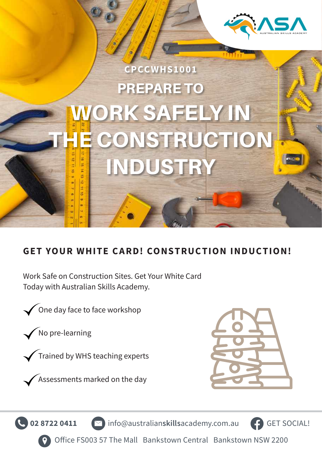

# PREPARE TO WORK SAFELY IN E CONSTRUCTION INDUSTRY **CPCCWHS1001**

#### **GET YOUR WHITE CARD! CONSTRUCTION INDUCTION!**

Work Safe on Construction Sites. Get Your White Card Today with Australian Skills Academy.

**02 8722 0411** info@australian**skills**academy.com.au

One day face to face workshop

No pre-learning

Trained by WHS teaching experts





GET SOCIAL!

Office FS003 57 The Mall Bankstown Central Bankstown NSW 2200